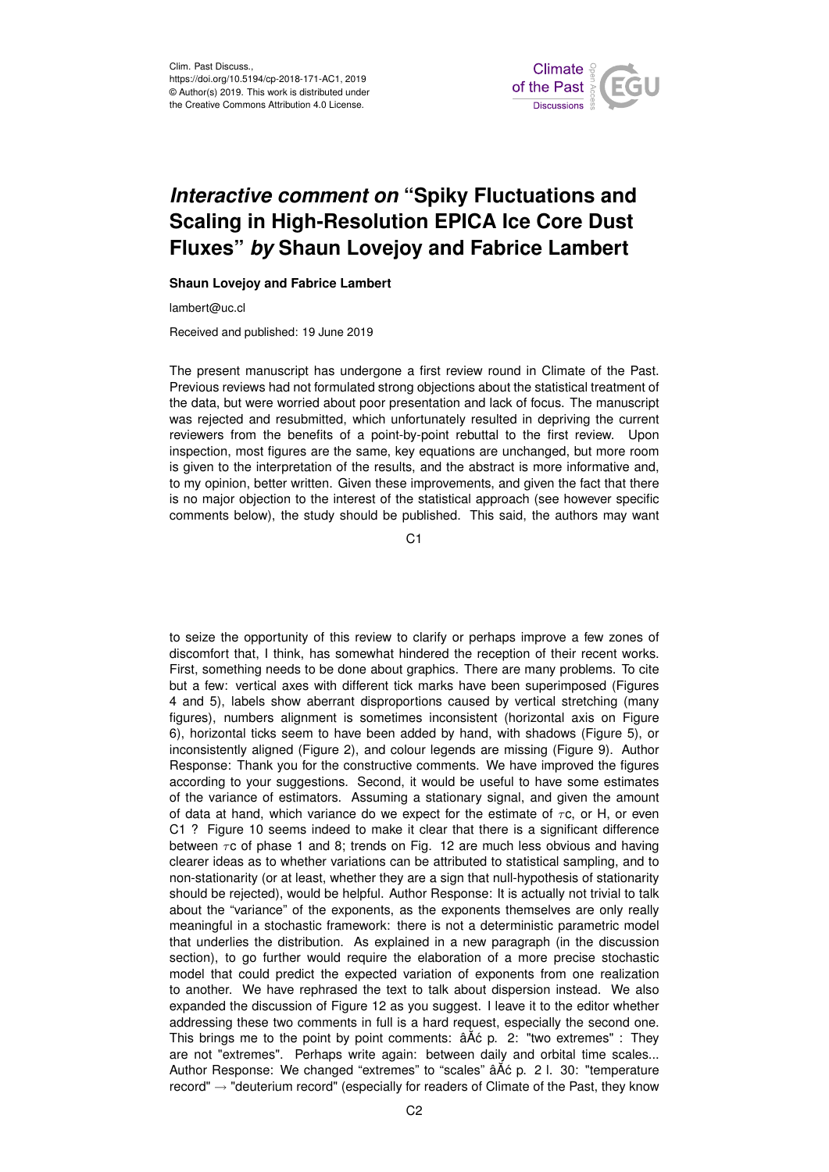

## *Interactive comment on* **"Spiky Fluctuations and Scaling in High-Resolution EPICA Ice Core Dust Fluxes"** *by* **Shaun Lovejoy and Fabrice Lambert**

## **Shaun Lovejoy and Fabrice Lambert**

lambert@uc.cl

Received and published: 19 June 2019

The present manuscript has undergone a first review round in Climate of the Past. Previous reviews had not formulated strong objections about the statistical treatment of the data, but were worried about poor presentation and lack of focus. The manuscript was rejected and resubmitted, which unfortunately resulted in depriving the current reviewers from the benefits of a point-by-point rebuttal to the first review. Upon inspection, most figures are the same, key equations are unchanged, but more room is given to the interpretation of the results, and the abstract is more informative and, to my opinion, better written. Given these improvements, and given the fact that there is no major objection to the interest of the statistical approach (see however specific comments below), the study should be published. This said, the authors may want

C<sub>1</sub>

to seize the opportunity of this review to clarify or perhaps improve a few zones of discomfort that, I think, has somewhat hindered the reception of their recent works. First, something needs to be done about graphics. There are many problems. To cite but a few: vertical axes with different tick marks have been superimposed (Figures 4 and 5), labels show aberrant disproportions caused by vertical stretching (many figures), numbers alignment is sometimes inconsistent (horizontal axis on Figure 6), horizontal ticks seem to have been added by hand, with shadows (Figure 5), or inconsistently aligned (Figure 2), and colour legends are missing (Figure 9). Author Response: Thank you for the constructive comments. We have improved the figures according to your suggestions. Second, it would be useful to have some estimates of the variance of estimators. Assuming a stationary signal, and given the amount of data at hand, which variance do we expect for the estimate of  $\tau c$ , or H, or even C1 ? Figure 10 seems indeed to make it clear that there is a significant difference between  $\tau$ c of phase 1 and 8; trends on Fig. 12 are much less obvious and having clearer ideas as to whether variations can be attributed to statistical sampling, and to non-stationarity (or at least, whether they are a sign that null-hypothesis of stationarity should be rejected), would be helpful. Author Response: It is actually not trivial to talk about the "variance" of the exponents, as the exponents themselves are only really meaningful in a stochastic framework: there is not a deterministic parametric model that underlies the distribution. As explained in a new paragraph (in the discussion section), to go further would require the elaboration of a more precise stochastic model that could predict the expected variation of exponents from one realization to another. We have rephrased the text to talk about dispersion instead. We also expanded the discussion of Figure 12 as you suggest. I leave it to the editor whether addressing these two comments in full is a hard request, especially the second one. This brings me to the point by point comments:  $âÃc$  p. 2: "two extremes" : They are not "extremes". Perhaps write again: between daily and orbital time scales... Author Response: We changed "extremes" to "scales" âÅć p. 2 l. 30: "temperature  $record" \rightarrow "deuterium record"$  (especially for readers of Climate of the Past, they know